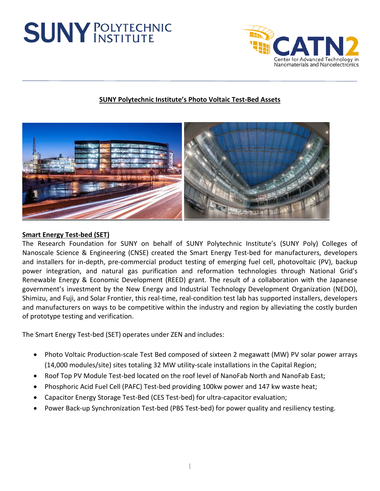# **SUNY POLYTECHNIC**



## **SUNY Polytechnic Institute's Photo Voltaic Test-Bed Assets**



#### **Smart Energy Test-bed (SET)**

The Research Foundation for SUNY on behalf of SUNY Polytechnic Institute's (SUNY Poly) Colleges of Nanoscale Science & Engineering (CNSE) created the Smart Energy Test-bed for manufacturers, developers and installers for in-depth, pre-commercial product testing of emerging fuel cell, photovoltaic (PV), backup power integration, and natural gas purification and reformation technologies through National Grid's Renewable Energy & Economic Development (REED) grant. The result of a collaboration with the Japanese government's investment by the New Energy and Industrial Technology Development Organization (NEDO), Shimizu, and Fuji, and Solar Frontier, this real-time, real-condition test lab has supported installers, developers and manufacturers on ways to be competitive within the industry and region by alleviating the costly burden of prototype testing and verification.

The Smart Energy Test-bed (SET) operates under ZEN and includes:

- Photo Voltaic Production-scale Test Bed composed of sixteen 2 megawatt (MW) PV solar power arrays (14,000 modules/site) sites totaling 32 MW utility-scale installations in the Capital Region;
- Roof Top PV Module Test-bed located on the roof level of NanoFab North and NanoFab East;
- Phosphoric Acid Fuel Cell (PAFC) Test-bed providing 100kw power and 147 kw waste heat;
- Capacitor Energy Storage Test-Bed (CES Test-bed) for ultra-capacitor evaluation;
- Power Back-up Synchronization Test-bed (PBS Test-bed) for power quality and resiliency testing.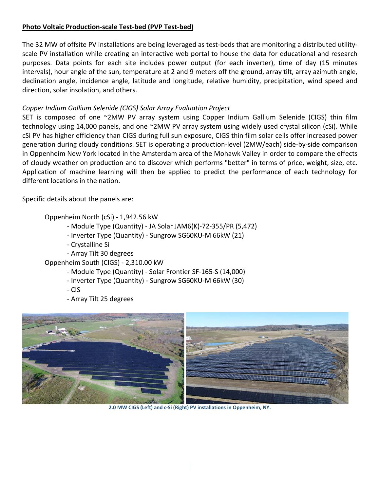### **Photo Voltaic Production-scale Test-bed (PVP Test-bed)**

The 32 MW of offsite PV installations are being leveraged as test-beds that are monitoring a distributed utilityscale PV installation while creating an interactive web portal to house the data for educational and research purposes. Data points for each site includes power output (for each inverter), time of day (15 minutes intervals), hour angle of the sun, temperature at 2 and 9 meters off the ground, array tilt, array azimuth angle, declination angle, incidence angle, latitude and longitude, relative humidity, precipitation, wind speed and direction, solar insolation, and others.

### *Copper Indium Gallium Selenide (CIGS) Solar Array Evaluation Project*

SET is composed of one ~2MW PV array system using Copper Indium Gallium Selenide (CIGS) thin film technology using 14,000 panels, and one ~2MW PV array system using widely used crystal silicon (cSi). While cSi PV has higher efficiency than CIGS during full sun exposure, CIGS thin film solar cells offer increased power generation during cloudy conditions. SET is operating a production-level (2MW/each) side-by-side comparison in Oppenheim New York located in the Amsterdam area of the Mohawk Valley in order to compare the effects of cloudy weather on production and to discover which performs "better" in terms of price, weight, size, etc. Application of machine learning will then be applied to predict the performance of each technology for different locations in the nation.

Specific details about the panels are:

Oppenheim North (cSi) - 1,942.56 kW

- Module Type (Quantity) JA Solar JAM6(K)-72-355/PR (5,472)
- Inverter Type (Quantity) Sungrow SG60KU-M 66kW (21)
- Crystalline Si
- Array Tilt 30 degrees

Oppenheim South (CIGS) - 2,310.00 kW

- Module Type (Quantity) Solar Frontier SF-165-S (14,000)
- Inverter Type (Quantity) Sungrow SG60KU-M 66kW (30)
- CIS
- Array Tilt 25 degrees



**2.0 MW CIGS (Left) and c-Si (Right) PV installations in Oppenheim, NY.**